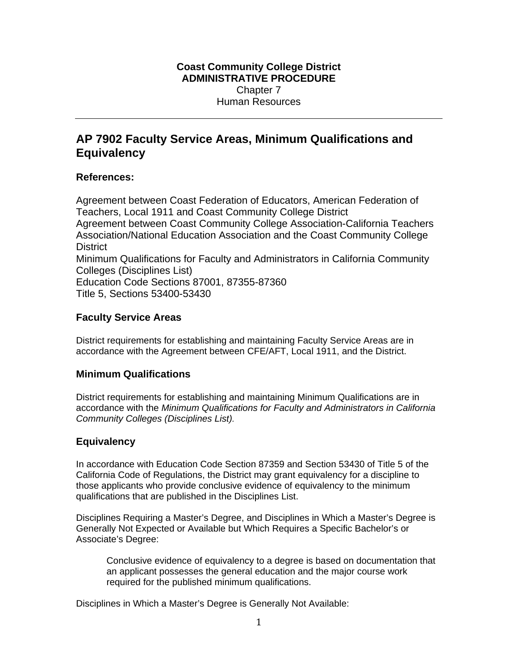## **Coast Community College District ADMINISTRATIVE PROCEDURE**  Chapter 7 Human Resources

# **AP 7902 Faculty Service Areas, Minimum Qualifications and Equivalency**

## **References:**

Agreement between Coast Federation of Educators, American Federation of Teachers, Local 1911 and Coast Community College District Agreement between Coast Community College Association-California Teachers Association/National Education Association and the Coast Community College **District** Minimum Qualifications for Faculty and Administrators in California Community Colleges (Disciplines List) Education Code Sections 87001, 87355-87360 Title 5, Sections 53400-53430

## **Faculty Service Areas**

District requirements for establishing and maintaining Faculty Service Areas are in accordance with the Agreement between CFE/AFT, Local 1911, and the District.

## **Minimum Qualifications**

District requirements for establishing and maintaining Minimum Qualifications are in accordance with the *Minimum Qualifications for Faculty and Administrators in California Community Colleges (Disciplines List).* 

## **Equivalency**

In accordance with Education Code Section 87359 and Section 53430 of Title 5 of the California Code of Regulations, the District may grant equivalency for a discipline to those applicants who provide conclusive evidence of equivalency to the minimum qualifications that are published in the Disciplines List.

Disciplines Requiring a Master's Degree, and Disciplines in Which a Master's Degree is Generally Not Expected or Available but Which Requires a Specific Bachelor's or Associate's Degree:

Conclusive evidence of equivalency to a degree is based on documentation that an applicant possesses the general education and the major course work required for the published minimum qualifications.

Disciplines in Which a Master's Degree is Generally Not Available: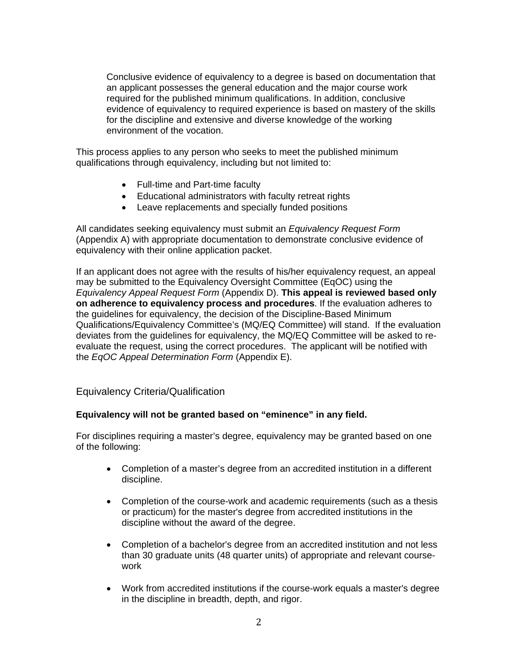Conclusive evidence of equivalency to a degree is based on documentation that an applicant possesses the general education and the major course work required for the published minimum qualifications. In addition, conclusive evidence of equivalency to required experience is based on mastery of the skills for the discipline and extensive and diverse knowledge of the working environment of the vocation.

This process applies to any person who seeks to meet the published minimum qualifications through equivalency, including but not limited to:

- Full-time and Part-time faculty
- Educational administrators with faculty retreat rights
- Leave replacements and specially funded positions

All candidates seeking equivalency must submit an *Equivalency Request Form* (Appendix A) with appropriate documentation to demonstrate conclusive evidence of equivalency with their online application packet.

If an applicant does not agree with the results of his/her equivalency request, an appeal may be submitted to the Equivalency Oversight Committee (EqOC) using the *Equivalency Appeal Request Form* (Appendix D). **This appeal is reviewed based only on adherence to equivalency process and procedures**. If the evaluation adheres to the guidelines for equivalency, the decision of the Discipline-Based Minimum Qualifications/Equivalency Committee's (MQ/EQ Committee) will stand. If the evaluation deviates from the guidelines for equivalency, the MQ/EQ Committee will be asked to reevaluate the request, using the correct procedures. The applicant will be notified with the *EqOC Appeal Determination Form* (Appendix E).

Equivalency Criteria/Qualification

#### **Equivalency will not be granted based on "eminence" in any field.**

For disciplines requiring a master's degree, equivalency may be granted based on one of the following:

- Completion of a master's degree from an accredited institution in a different discipline.
- Completion of the course-work and academic requirements (such as a thesis or practicum) for the master's degree from accredited institutions in the discipline without the award of the degree.
- Completion of a bachelor's degree from an accredited institution and not less than 30 graduate units (48 quarter units) of appropriate and relevant coursework
- Work from accredited institutions if the course-work equals a master's degree in the discipline in breadth, depth, and rigor.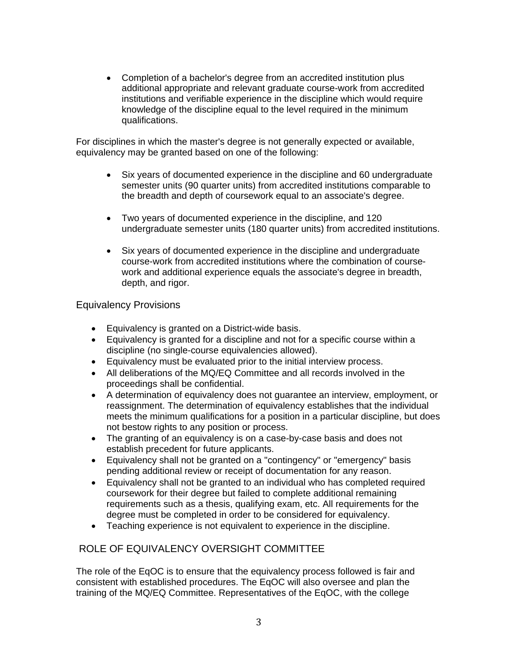Completion of a bachelor's degree from an accredited institution plus additional appropriate and relevant graduate course-work from accredited institutions and verifiable experience in the discipline which would require knowledge of the discipline equal to the level required in the minimum qualifications.

For disciplines in which the master's degree is not generally expected or available, equivalency may be granted based on one of the following:

- Six years of documented experience in the discipline and 60 undergraduate semester units (90 quarter units) from accredited institutions comparable to the breadth and depth of coursework equal to an associate's degree.
- Two years of documented experience in the discipline, and 120 undergraduate semester units (180 quarter units) from accredited institutions.
- Six years of documented experience in the discipline and undergraduate course-work from accredited institutions where the combination of coursework and additional experience equals the associate's degree in breadth, depth, and rigor.

#### Equivalency Provisions

- Equivalency is granted on a District-wide basis.
- Equivalency is granted for a discipline and not for a specific course within a discipline (no single-course equivalencies allowed).
- Equivalency must be evaluated prior to the initial interview process.
- All deliberations of the MQ/EQ Committee and all records involved in the proceedings shall be confidential.
- A determination of equivalency does not guarantee an interview, employment, or reassignment. The determination of equivalency establishes that the individual meets the minimum qualifications for a position in a particular discipline, but does not bestow rights to any position or process.
- The granting of an equivalency is on a case-by-case basis and does not establish precedent for future applicants.
- Equivalency shall not be granted on a "contingency" or "emergency" basis pending additional review or receipt of documentation for any reason.
- Equivalency shall not be granted to an individual who has completed required coursework for their degree but failed to complete additional remaining requirements such as a thesis, qualifying exam, etc. All requirements for the degree must be completed in order to be considered for equivalency.
- Teaching experience is not equivalent to experience in the discipline.

## ROLE OF EQUIVALENCY OVERSIGHT COMMITTEE

The role of the EqOC is to ensure that the equivalency process followed is fair and consistent with established procedures. The EqOC will also oversee and plan the training of the MQ/EQ Committee. Representatives of the EqOC, with the college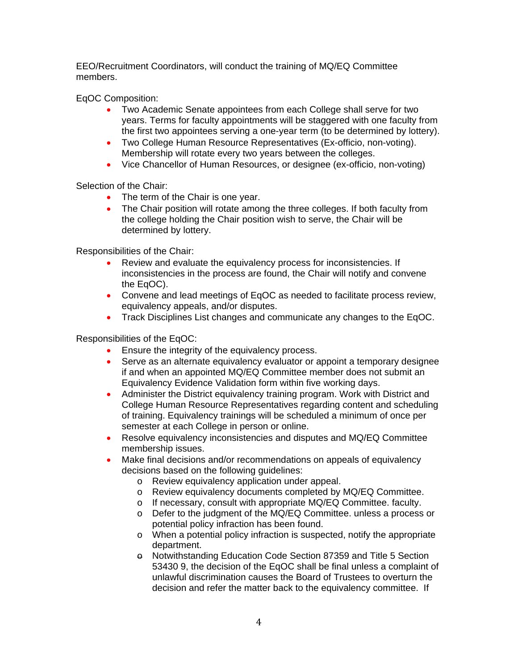EEO/Recruitment Coordinators, will conduct the training of MQ/EQ Committee members.

EqOC Composition:

- Two Academic Senate appointees from each College shall serve for two years. Terms for faculty appointments will be staggered with one faculty from the first two appointees serving a one-year term (to be determined by lottery).
- Two College Human Resource Representatives (Ex-officio, non-voting). Membership will rotate every two years between the colleges.
- Vice Chancellor of Human Resources, or designee (ex-officio, non-voting)

Selection of the Chair:

- The term of the Chair is one year.
- The Chair position will rotate among the three colleges. If both faculty from the college holding the Chair position wish to serve, the Chair will be determined by lottery.

Responsibilities of the Chair:

- Review and evaluate the equivalency process for inconsistencies. If inconsistencies in the process are found, the Chair will notify and convene the EqOC).
- Convene and lead meetings of EqOC as needed to facilitate process review, equivalency appeals, and/or disputes.
- Track Disciplines List changes and communicate any changes to the EqOC.

Responsibilities of the EqOC:

- **Ensure the integrity of the equivalency process.**
- Serve as an alternate equivalency evaluator or appoint a temporary designee if and when an appointed MQ/EQ Committee member does not submit an Equivalency Evidence Validation form within five working days.
- Administer the District equivalency training program. Work with District and College Human Resource Representatives regarding content and scheduling of training. Equivalency trainings will be scheduled a minimum of once per semester at each College in person or online.
- Resolve equivalency inconsistencies and disputes and MQ/EQ Committee membership issues.
- Make final decisions and/or recommendations on appeals of equivalency decisions based on the following guidelines:
	- o Review equivalency application under appeal.
	- o Review equivalency documents completed by MQ/EQ Committee.
	- o If necessary, consult with appropriate MQ/EQ Committee. faculty.
	- o Defer to the judgment of the MQ/EQ Committee. unless a process or potential policy infraction has been found.
	- o When a potential policy infraction is suspected, notify the appropriate department.
	- $\theta$  Notwithstanding Education Code Section 87359 and Title 5 Section 53430 9, the decision of the EqOC shall be final unless a complaint of unlawful discrimination causes the Board of Trustees to overturn the decision and refer the matter back to the equivalency committee. If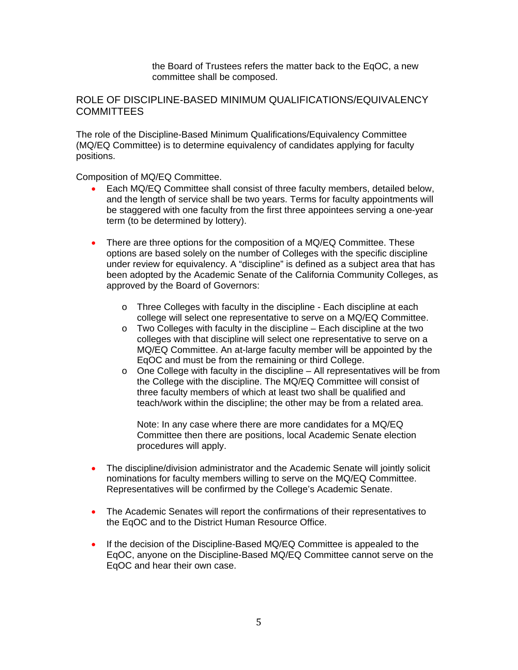the Board of Trustees refers the matter back to the EqOC, a new committee shall be composed.

#### ROLE OF DISCIPLINE-BASED MINIMUM QUALIFICATIONS/EQUIVALENCY COMMITTEES

The role of the Discipline-Based Minimum Qualifications/Equivalency Committee (MQ/EQ Committee) is to determine equivalency of candidates applying for faculty positions.

Composition of MQ/EQ Committee.

- Each MQ/EQ Committee shall consist of three faculty members, detailed below, and the length of service shall be two years. Terms for faculty appointments will be staggered with one faculty from the first three appointees serving a one-year term (to be determined by lottery).
- There are three options for the composition of a MQ/EQ Committee. These options are based solely on the number of Colleges with the specific discipline under review for equivalency. A "discipline" is defined as a subject area that has been adopted by the Academic Senate of the California Community Colleges, as approved by the Board of Governors:
	- o Three Colleges with faculty in the discipline Each discipline at each college will select one representative to serve on a MQ/EQ Committee.
	- o Two Colleges with faculty in the discipline Each discipline at the two colleges with that discipline will select one representative to serve on a MQ/EQ Committee. An at-large faculty member will be appointed by the EqOC and must be from the remaining or third College.
	- o One College with faculty in the discipline All representatives will be from the College with the discipline. The MQ/EQ Committee will consist of three faculty members of which at least two shall be qualified and teach/work within the discipline; the other may be from a related area.

Note: In any case where there are more candidates for a MQ/EQ Committee then there are positions, local Academic Senate election procedures will apply.

- The discipline/division administrator and the Academic Senate will jointly solicit nominations for faculty members willing to serve on the MQ/EQ Committee. Representatives will be confirmed by the College's Academic Senate.
- The Academic Senates will report the confirmations of their representatives to the EqOC and to the District Human Resource Office.
- If the decision of the Discipline-Based MQ/EQ Committee is appealed to the EqOC, anyone on the Discipline-Based MQ/EQ Committee cannot serve on the EqOC and hear their own case.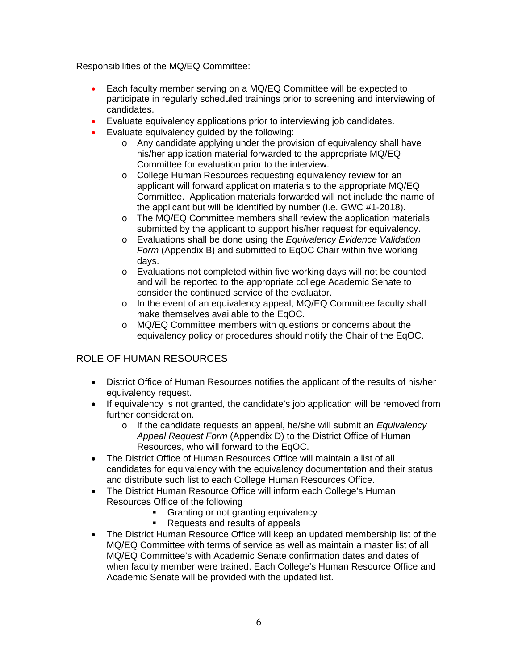Responsibilities of the MQ/EQ Committee:

- Each faculty member serving on a MQ/EQ Committee will be expected to participate in regularly scheduled trainings prior to screening and interviewing of candidates.
- Evaluate equivalency applications prior to interviewing job candidates.
- Evaluate equivalency guided by the following:
	- o Any candidate applying under the provision of equivalency shall have his/her application material forwarded to the appropriate MQ/EQ Committee for evaluation prior to the interview.
	- o College Human Resources requesting equivalency review for an applicant will forward application materials to the appropriate MQ/EQ Committee. Application materials forwarded will not include the name of the applicant but will be identified by number (i.e. GWC #1-2018).
	- o The MQ/EQ Committee members shall review the application materials submitted by the applicant to support his/her request for equivalency.
	- o Evaluations shall be done using the *Equivalency Evidence Validation Form* (Appendix B) and submitted to EqOC Chair within five working days.
	- o Evaluations not completed within five working days will not be counted and will be reported to the appropriate college Academic Senate to consider the continued service of the evaluator.
	- o In the event of an equivalency appeal, MQ/EQ Committee faculty shall make themselves available to the EqOC.
	- o MQ/EQ Committee members with questions or concerns about the equivalency policy or procedures should notify the Chair of the EqOC.

## ROLE OF HUMAN RESOURCES

- District Office of Human Resources notifies the applicant of the results of his/her equivalency request.
- If equivalency is not granted, the candidate's job application will be removed from further consideration.
	- o If the candidate requests an appeal, he/she will submit an *Equivalency Appeal Request Form* (Appendix D) to the District Office of Human Resources, who will forward to the EqOC.
- The District Office of Human Resources Office will maintain a list of all candidates for equivalency with the equivalency documentation and their status and distribute such list to each College Human Resources Office.
- The District Human Resource Office will inform each College's Human Resources Office of the following
	- Granting or not granting equivalency
	- Requests and results of appeals
- The District Human Resource Office will keep an updated membership list of the MQ/EQ Committee with terms of service as well as maintain a master list of all MQ/EQ Committee's with Academic Senate confirmation dates and dates of when faculty member were trained. Each College's Human Resource Office and Academic Senate will be provided with the updated list.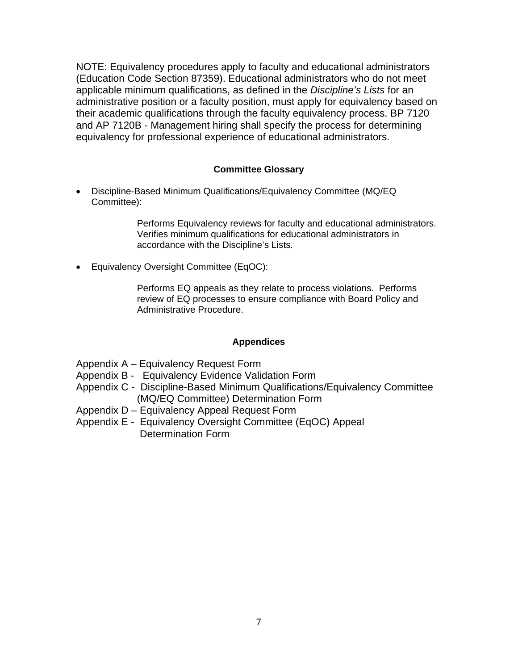NOTE: Equivalency procedures apply to faculty and educational administrators (Education Code Section 87359). Educational administrators who do not meet applicable minimum qualifications, as defined in the *Discipline's Lists* for an administrative position or a faculty position, must apply for equivalency based on their academic qualifications through the faculty equivalency process. BP 7120 and AP 7120B - Management hiring shall specify the process for determining equivalency for professional experience of educational administrators.

#### **Committee Glossary**

 Discipline-Based Minimum Qualifications/Equivalency Committee (MQ/EQ Committee):

> Performs Equivalency reviews for faculty and educational administrators. Verifies minimum qualifications for educational administrators in accordance with the Discipline's Lists*.*

Equivalency Oversight Committee (EqOC):

Performs EQ appeals as they relate to process violations. Performs review of EQ processes to ensure compliance with Board Policy and Administrative Procedure.

#### **Appendices**

Appendix A – Equivalency Request Form

- Appendix B Equivalency Evidence Validation Form
- Appendix C Discipline-Based Minimum Qualifications/Equivalency Committee (MQ/EQ Committee) Determination Form
- Appendix D Equivalency Appeal Request Form
- Appendix E Equivalency Oversight Committee (EqOC) Appeal Determination Form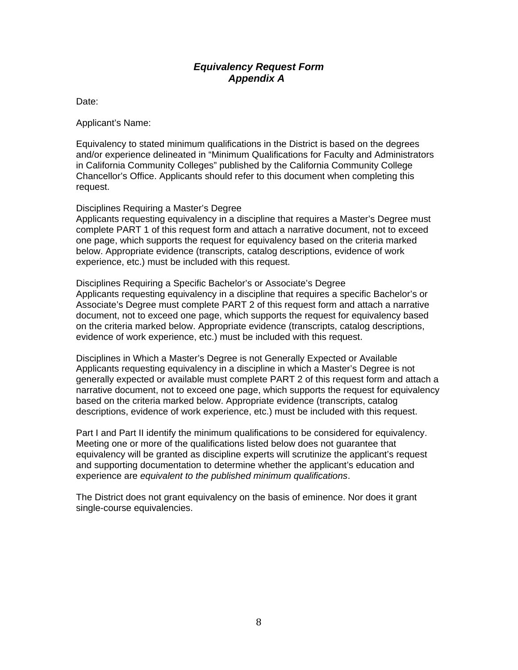### *Equivalency Request Form Appendix A*

Date:

Applicant's Name:

Equivalency to stated minimum qualifications in the District is based on the degrees and/or experience delineated in "Minimum Qualifications for Faculty and Administrators in California Community Colleges" published by the California Community College Chancellor's Office. Applicants should refer to this document when completing this request.

#### Disciplines Requiring a Master's Degree

Applicants requesting equivalency in a discipline that requires a Master's Degree must complete PART 1 of this request form and attach a narrative document, not to exceed one page, which supports the request for equivalency based on the criteria marked below. Appropriate evidence (transcripts, catalog descriptions, evidence of work experience, etc.) must be included with this request.

Disciplines Requiring a Specific Bachelor's or Associate's Degree Applicants requesting equivalency in a discipline that requires a specific Bachelor's or Associate's Degree must complete PART 2 of this request form and attach a narrative document, not to exceed one page, which supports the request for equivalency based on the criteria marked below. Appropriate evidence (transcripts, catalog descriptions, evidence of work experience, etc.) must be included with this request.

Disciplines in Which a Master's Degree is not Generally Expected or Available Applicants requesting equivalency in a discipline in which a Master's Degree is not generally expected or available must complete PART 2 of this request form and attach a narrative document, not to exceed one page, which supports the request for equivalency based on the criteria marked below. Appropriate evidence (transcripts, catalog descriptions, evidence of work experience, etc.) must be included with this request.

Part I and Part II identify the minimum qualifications to be considered for equivalency. Meeting one or more of the qualifications listed below does not guarantee that equivalency will be granted as discipline experts will scrutinize the applicant's request and supporting documentation to determine whether the applicant's education and experience are *equivalent to the published minimum qualifications*.

The District does not grant equivalency on the basis of eminence. Nor does it grant single-course equivalencies.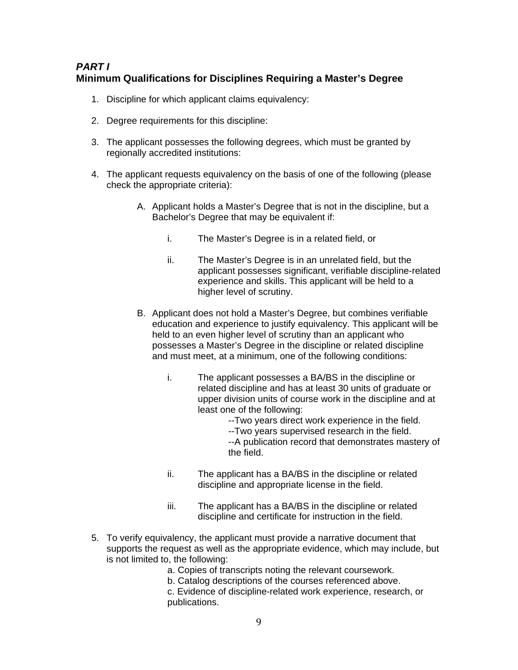## *PART I*  **Minimum Qualifications for Disciplines Requiring a Master's Degree**

- 1. Discipline for which applicant claims equivalency:
- 2. Degree requirements for this discipline:
- 3. The applicant possesses the following degrees, which must be granted by regionally accredited institutions:
- 4. The applicant requests equivalency on the basis of one of the following (please check the appropriate criteria):
	- A. Applicant holds a Master's Degree that is not in the discipline, but a Bachelor's Degree that may be equivalent if:
		- i. The Master's Degree is in a related field, or
		- ii. The Master's Degree is in an unrelated field, but the applicant possesses significant, verifiable discipline-related experience and skills. This applicant will be held to a higher level of scrutiny.
	- B. Applicant does not hold a Master's Degree, but combines verifiable education and experience to justify equivalency. This applicant will be held to an even higher level of scrutiny than an applicant who possesses a Master's Degree in the discipline or related discipline and must meet, at a minimum, one of the following conditions:
		- i. The applicant possesses a BA/BS in the discipline or related discipline and has at least 30 units of graduate or upper division units of course work in the discipline and at least one of the following:
			- --Two years direct work experience in the field.
			- --Two years supervised research in the field.
			- --A publication record that demonstrates mastery of the field.
		- ii. The applicant has a BA/BS in the discipline or related discipline and appropriate license in the field.
		- iii. The applicant has a BA/BS in the discipline or related discipline and certificate for instruction in the field.
- 5. To verify equivalency, the applicant must provide a narrative document that supports the request as well as the appropriate evidence, which may include, but is not limited to, the following:
	- a. Copies of transcripts noting the relevant coursework.
	- b. Catalog descriptions of the courses referenced above.

c. Evidence of discipline-related work experience, research, or publications.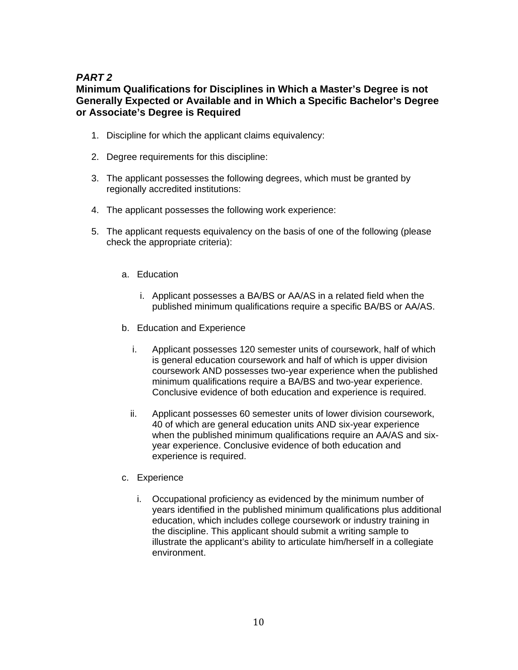## *PART 2*

## **Minimum Qualifications for Disciplines in Which a Master's Degree is not Generally Expected or Available and in Which a Specific Bachelor's Degree or Associate's Degree is Required**

- 1. Discipline for which the applicant claims equivalency:
- 2. Degree requirements for this discipline:
- 3. The applicant possesses the following degrees, which must be granted by regionally accredited institutions:
- 4. The applicant possesses the following work experience:
- 5. The applicant requests equivalency on the basis of one of the following (please check the appropriate criteria):
	- a. Education
		- i. Applicant possesses a BA/BS or AA/AS in a related field when the published minimum qualifications require a specific BA/BS or AA/AS.
	- b. Education and Experience
		- i. Applicant possesses 120 semester units of coursework, half of which is general education coursework and half of which is upper division coursework AND possesses two-year experience when the published minimum qualifications require a BA/BS and two-year experience. Conclusive evidence of both education and experience is required.
		- ii. Applicant possesses 60 semester units of lower division coursework, 40 of which are general education units AND six-year experience when the published minimum qualifications require an AA/AS and sixyear experience. Conclusive evidence of both education and experience is required.
	- c. Experience
		- i. Occupational proficiency as evidenced by the minimum number of years identified in the published minimum qualifications plus additional education, which includes college coursework or industry training in the discipline. This applicant should submit a writing sample to illustrate the applicant's ability to articulate him/herself in a collegiate environment.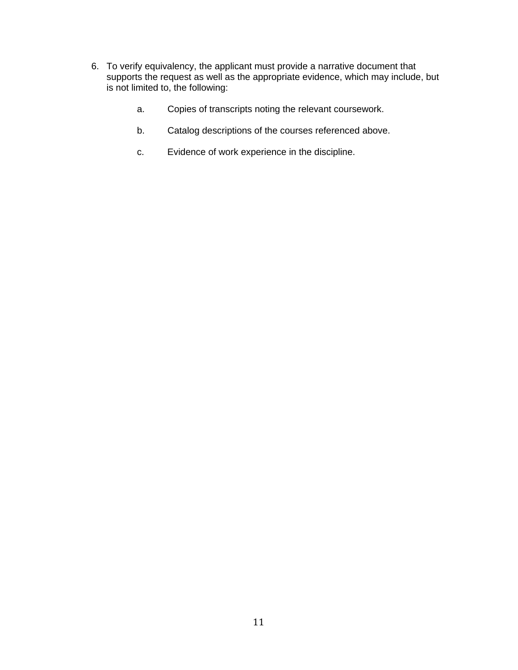- 6. To verify equivalency, the applicant must provide a narrative document that supports the request as well as the appropriate evidence, which may include, but is not limited to, the following:
	- a. Copies of transcripts noting the relevant coursework.
	- b. Catalog descriptions of the courses referenced above.
	- c. Evidence of work experience in the discipline.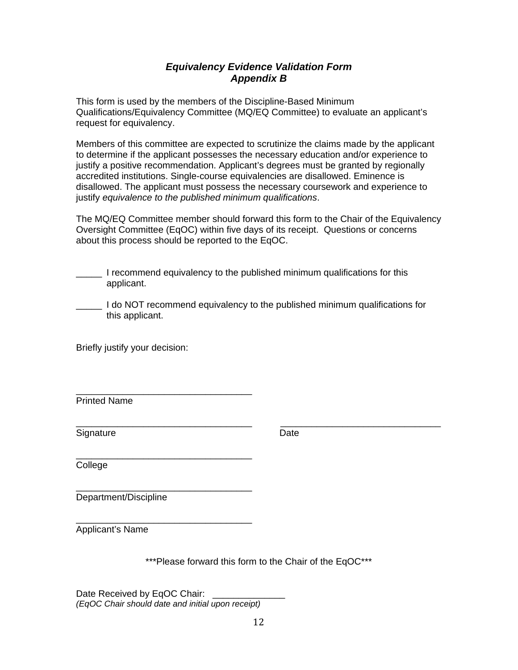## *Equivalency Evidence Validation Form Appendix B*

This form is used by the members of the Discipline-Based Minimum Qualifications/Equivalency Committee (MQ/EQ Committee) to evaluate an applicant's request for equivalency.

Members of this committee are expected to scrutinize the claims made by the applicant to determine if the applicant possesses the necessary education and/or experience to justify a positive recommendation. Applicant's degrees must be granted by regionally accredited institutions. Single-course equivalencies are disallowed. Eminence is disallowed. The applicant must possess the necessary coursework and experience to justify *equivalence to the published minimum qualifications*.

The MQ/EQ Committee member should forward this form to the Chair of the Equivalency Oversight Committee (EqOC) within five days of its receipt. Questions or concerns about this process should be reported to the EqOC.

| I recommend equivalency to the published minimum qualifications for this |
|--------------------------------------------------------------------------|
| applicant.                                                               |

| I do NOT recommend equivalency to the published minimum qualifications for |
|----------------------------------------------------------------------------|
| this applicant.                                                            |

Briefly justify your decision:

\_\_\_\_\_\_\_\_\_\_\_\_\_\_\_\_\_\_\_\_\_\_\_\_\_\_\_\_\_\_\_\_\_\_ Printed Name

Signature Date Date

\_\_\_\_\_\_\_\_\_\_\_\_\_\_\_\_\_\_\_\_\_\_\_\_\_\_\_\_\_\_\_\_\_\_ College

Department/Discipline

\_\_\_\_\_\_\_\_\_\_\_\_\_\_\_\_\_\_\_\_\_\_\_\_\_\_\_\_\_\_\_\_\_\_ Applicant's Name

\*\*\*Please forward this form to the Chair of the EqOC\*\*\*

\_\_\_\_\_\_\_\_\_\_\_\_\_\_\_\_\_\_\_\_\_\_\_\_\_\_\_\_\_\_\_\_\_\_ \_\_\_\_\_\_\_\_\_\_\_\_\_\_\_\_\_\_\_\_\_\_\_\_\_\_\_\_\_\_\_

Date Received by EqOC Chair: *(EqOC Chair should date and initial upon receipt)*

\_\_\_\_\_\_\_\_\_\_\_\_\_\_\_\_\_\_\_\_\_\_\_\_\_\_\_\_\_\_\_\_\_\_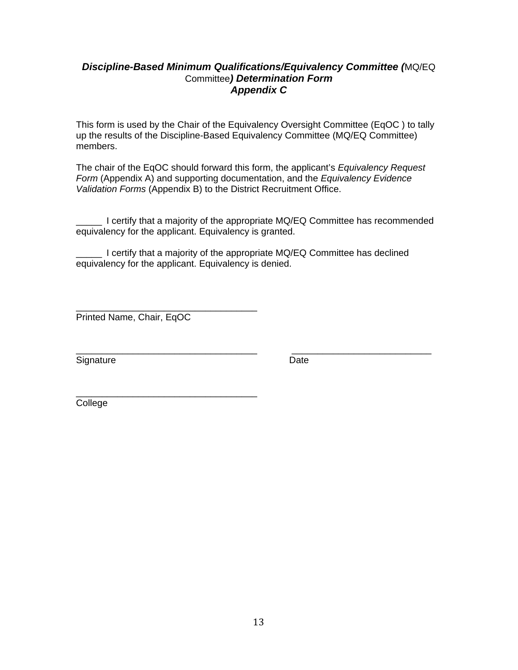### *Discipline-Based Minimum Qualifications/Equivalency Committee (*MQ/EQ Committee*) Determination Form Appendix C*

This form is used by the Chair of the Equivalency Oversight Committee (EqOC ) to tally up the results of the Discipline-Based Equivalency Committee (MQ/EQ Committee) members.

The chair of the EqOC should forward this form, the applicant's *Equivalency Request Form* (Appendix A) and supporting documentation, and the *Equivalency Evidence Validation Forms* (Appendix B) to the District Recruitment Office.

\_\_\_\_\_ I certify that a majority of the appropriate MQ/EQ Committee has recommended equivalency for the applicant. Equivalency is granted.

\_\_\_\_\_ I certify that a majority of the appropriate MQ/EQ Committee has declined equivalency for the applicant. Equivalency is denied.

\_\_\_\_\_\_\_\_\_\_\_\_\_\_\_\_\_\_\_\_\_\_\_\_\_\_\_\_\_\_\_\_\_\_\_ Printed Name, Chair, EqOC

\_\_\_\_\_\_\_\_\_\_\_\_\_\_\_\_\_\_\_\_\_\_\_\_\_\_\_\_\_\_\_\_\_\_\_

\_\_\_\_\_\_\_\_\_\_\_\_\_\_\_\_\_\_\_\_\_\_\_\_\_\_\_\_\_\_\_\_\_\_\_ \_\_\_\_\_\_\_\_\_\_\_\_\_\_\_\_\_\_\_\_\_\_\_\_\_\_\_ Signature Date Date

College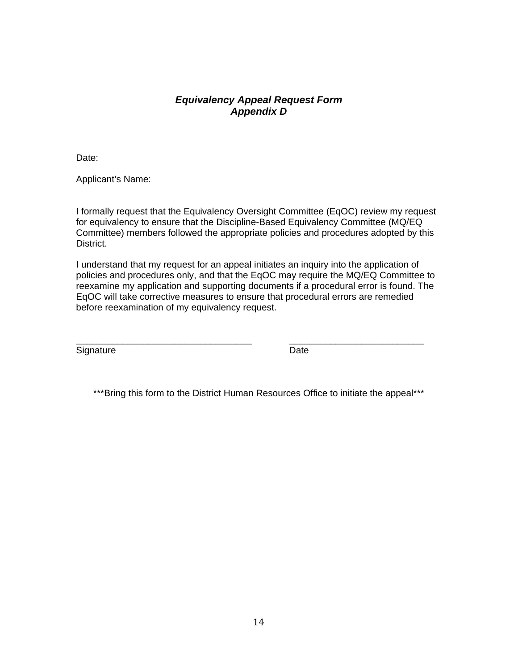## *Equivalency Appeal Request Form Appendix D*

Date:

Applicant's Name:

I formally request that the Equivalency Oversight Committee (EqOC) review my request for equivalency to ensure that the Discipline-Based Equivalency Committee (MQ/EQ Committee) members followed the appropriate policies and procedures adopted by this District.

I understand that my request for an appeal initiates an inquiry into the application of policies and procedures only, and that the EqOC may require the MQ/EQ Committee to reexamine my application and supporting documents if a procedural error is found. The EqOC will take corrective measures to ensure that procedural errors are remedied before reexamination of my equivalency request.

\_\_\_\_\_\_\_\_\_\_\_\_\_\_\_\_\_\_\_\_\_\_\_\_\_\_\_\_\_\_\_\_\_\_ \_\_\_\_\_\_\_\_\_\_\_\_\_\_\_\_\_\_\_\_\_\_\_\_\_\_ Signature Date Date

\*\*\*Bring this form to the District Human Resources Office to initiate the appeal\*\*\*